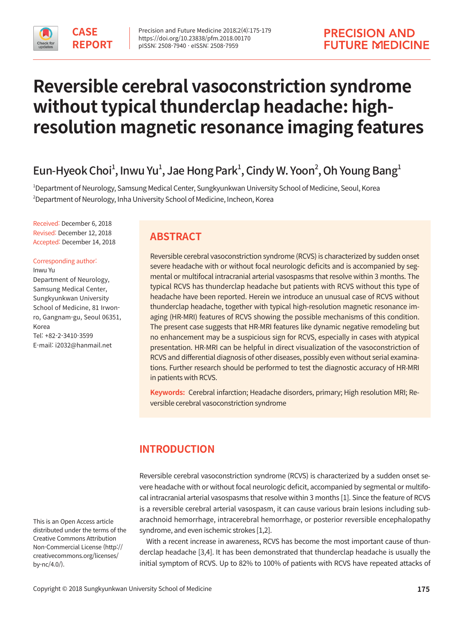

# **Reversible cerebral vasoconstriction syndrome without typical thunderclap headache: highresolution magnetic resonance imaging features**

## Eun-Hyeok Choi $^1$ , Inwu Yu $^1$ , Jae Hong Park $^1$ , Cindy W. Yoon $^2$ , Oh Young Bang $^1$

1 Department of Neurology, Samsung Medical Center, Sungkyunkwan University School of Medicine, Seoul, Korea  $^2$ Department of Neurology, Inha University School of Medicine, Incheon, Korea

Received: December 6, 2018 Revised: December 12, 2018 Accepted: December 14, 2018

Corresponding author: Inwu Yu Department of Neurology, Samsung Medical Center, Sungkyunkwan University School of Medicine, 81 Irwonro, Gangnam-gu, Seoul 06351, Korea Tel: +82-2-3410-3599 E-mail: i2032@hanmail.net

**ABSTRACT**

Reversible cerebral vasoconstriction syndrome (RCVS) is characterized by sudden onset severe headache with or without focal neurologic deficits and is accompanied by segmental or multifocal intracranial arterial vasospasms that resolve within 3 months. The typical RCVS has thunderclap headache but patients with RCVS without this type of headache have been reported. Herein we introduce an unusual case of RCVS without thunderclap headache, together with typical high-resolution magnetic resonance imaging (HR-MRI) features of RCVS showing the possible mechanisms of this condition. The present case suggests that HR-MRI features like dynamic negative remodeling but no enhancement may be a suspicious sign for RCVS, especially in cases with atypical presentation. HR-MRI can be helpful in direct visualization of the vasoconstriction of RCVS and differential diagnosis of other diseases, possibly even without serial examinations. Further research should be performed to test the diagnostic accuracy of HR-MRI in patients with RCVS.

**Keywords:** Cerebral infarction; Headache disorders, primary; High resolution MRI; Reversible cerebral vasoconstriction syndrome

## **INTRODUCTION**

Reversible cerebral vasoconstriction syndrome (RCVS) is characterized by a sudden onset severe headache with or without focal neurologic deficit, accompanied by segmental or multifocal intracranial arterial vasospasms that resolve within 3 months [1]. Since the feature of RCVS is a reversible cerebral arterial vasospasm, it can cause various brain lesions including subarachnoid hemorrhage, intracerebral hemorrhage, or posterior reversible encephalopathy syndrome, and even ischemic strokes [1,2].

 With a recent increase in awareness, RCVS has become the most important cause of thunderclap headache [3,4]. It has been demonstrated that thunderclap headache is usually the initial symptom of RCVS. Up to 82% to 100% of patients with RCVS have repeated attacks of

This is an Open Access article distributed under the terms of the Creative Commons Attribution Non-Commercial License (http:// creativecommons.org/licenses/ by-nc/4.0/).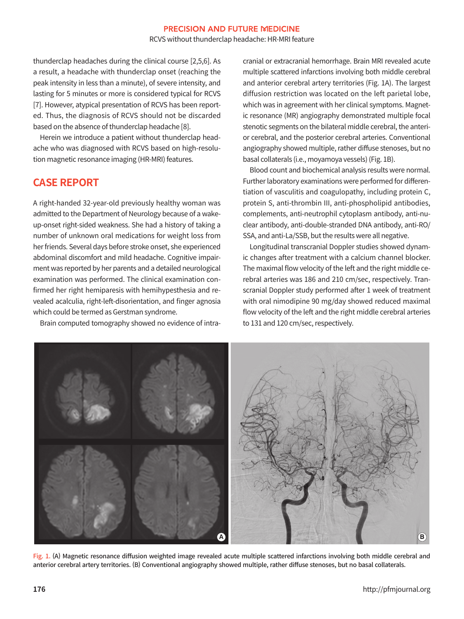#### **PRECISION AND FUTURE MEDICINE** RCVS without thunderclap headache: HR-MRI feature

thunderclap headaches during the clinical course [2,5,6]. As a result, a headache with thunderclap onset (reaching the peak intensity in less than a minute), of severe intensity, and lasting for 5 minutes or more is considered typical for RCVS [7]. However, atypical presentation of RCVS has been reported. Thus, the diagnosis of RCVS should not be discarded based on the absence of thunderclap headache [8].

 Herein we introduce a patient without thunderclap headache who was diagnosed with RCVS based on high-resolution magnetic resonance imaging (HR-MRI) features.

## **CASE REPORT**

A right-handed 32-year-old previously healthy woman was admitted to the Department of Neurology because of a wakeup-onset right-sided weakness. She had a history of taking a number of unknown oral medications for weight loss from her friends. Several days before stroke onset, she experienced abdominal discomfort and mild headache. Cognitive impairment was reported by her parents and a detailed neurological examination was performed. The clinical examination confirmed her right hemiparesis with hemihypesthesia and revealed acalculia, right-left-disorientation, and finger agnosia which could be termed as Gerstman syndrome.

Brain computed tomography showed no evidence of intra-

cranial or extracranial hemorrhage. Brain MRI revealed acute multiple scattered infarctions involving both middle cerebral and anterior cerebral artery territories (Fig. 1A). The largest diffusion restriction was located on the left parietal lobe, which was in agreement with her clinical symptoms. Magnetic resonance (MR) angiography demonstrated multiple focal stenotic segments on the bilateral middle cerebral, the anterior cerebral, and the posterior cerebral arteries. Conventional angiography showed multiple, rather diffuse stenoses, but no basal collaterals (i.e., moyamoya vessels) (Fig. 1B).

Blood count and biochemical analysis results were normal. Further laboratory examinations were performed for differentiation of vasculitis and coagulopathy, including protein C, protein S, anti-thrombin III, anti-phospholipid antibodies, complements, anti-neutrophil cytoplasm antibody, anti-nuclear antibody, anti-double-stranded DNA antibody, anti-RO/ SSA, and anti-La/SSB, but the results were all negative.

 Longitudinal transcranial Doppler studies showed dynamic changes after treatment with a calcium channel blocker. The maximal flow velocity of the left and the right middle cerebral arteries was 186 and 210 cm/sec, respectively. Transcranial Doppler study performed after 1 week of treatment with oral nimodipine 90 mg/day showed reduced maximal flow velocity of the left and the right middle cerebral arteries to 131 and 120 cm/sec, respectively.



Fig. 1. (A) Magnetic resonance diffusion weighted image revealed acute multiple scattered infarctions involving both middle cerebral and anterior cerebral artery territories. (B) Conventional angiography showed multiple, rather diffuse stenoses, but no basal collaterals.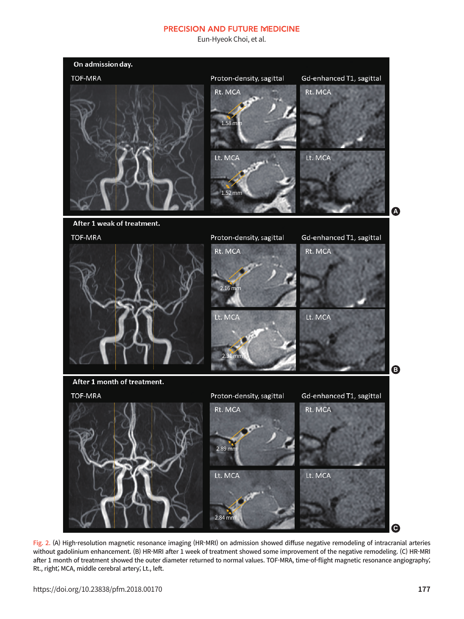#### **PRECISION AND FUTURE MEDICINE**

Eun-Hyeok Choi, et al.



Fig. 2. (A) High-resolution magnetic resonance imaging (HR-MRI) on admission showed diffuse negative remodeling of intracranial arteries without gadolinium enhancement. (B) HR-MRI after 1 week of treatment showed some improvement of the negative remodeling. (C) HR-MRI after 1 month of treatment showed the outer diameter returned to normal values. TOF-MRA, time-of-flight magnetic resonance angiography; Rt., right; MCA, middle cerebral artery; Lt., left.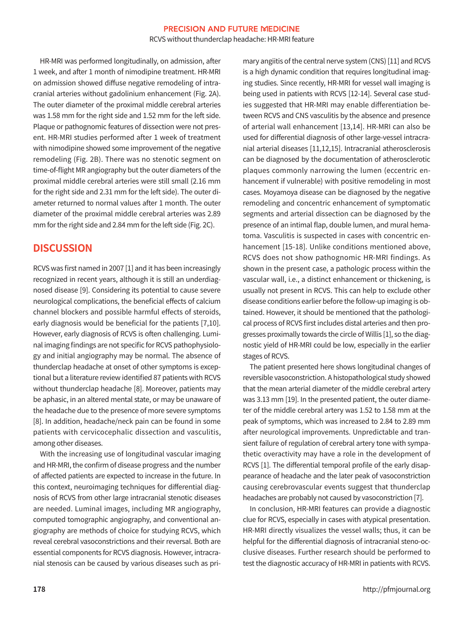#### **PRECISION AND FUTURE MEDICINE** RCVS without thunderclap headache: HR-MRI feature

 HR-MRI was performed longitudinally, on admission, after 1 week, and after 1 month of nimodipine treatment. HR-MRI on admission showed diffuse negative remodeling of intracranial arteries without gadolinium enhancement (Fig. 2A). The outer diameter of the proximal middle cerebral arteries was 1.58 mm for the right side and 1.52 mm for the left side. Plaque or pathognomic features of dissection were not present. HR-MRI studies performed after 1 week of treatment with nimodipine showed some improvement of the negative remodeling (Fig. 2B). There was no stenotic segment on time-of-flight MR angiography but the outer diameters of the proximal middle cerebral arteries were still small (2.16 mm for the right side and 2.31 mm for the left side). The outer diameter returned to normal values after 1 month. The outer diameter of the proximal middle cerebral arteries was 2.89 mm for the right side and 2.84 mm for the left side (Fig. 2C).

## **DISCUSSION**

RCVS was first named in 2007 [1] and it has been increasingly recognized in recent years, although it is still an underdiagnosed disease [9]. Considering its potential to cause severe neurological complications, the beneficial effects of calcium channel blockers and possible harmful effects of steroids, early diagnosis would be beneficial for the patients [7,10]. However, early diagnosis of RCVS is often challenging. Luminal imaging findings are not specific for RCVS pathophysiology and initial angiography may be normal. The absence of thunderclap headache at onset of other symptoms is exceptional but a literature review identified 87 patients with RCVS without thunderclap headache [8]. Moreover, patients may be aphasic, in an altered mental state, or may be unaware of the headache due to the presence of more severe symptoms [8]. In addition, headache/neck pain can be found in some patients with cervicocephalic dissection and vasculitis, among other diseases.

 With the increasing use of longitudinal vascular imaging and HR-MRI, the confirm of disease progress and the number of affected patients are expected to increase in the future. In this context, neuroimaging techniques for differential diagnosis of RCVS from other large intracranial stenotic diseases are needed. Luminal images, including MR angiography, computed tomographic angiography, and conventional angiography are methods of choice for studying RCVS, which reveal cerebral vasoconstrictions and their reversal. Both are essential components for RCVS diagnosis. However, intracranial stenosis can be caused by various diseases such as primary angiitis of the central nerve system (CNS) [11] and RCVS is a high dynamic condition that requires longitudinal imaging studies. Since recently, HR-MRI for vessel wall imaging is being used in patients with RCVS [12-14]. Several case studies suggested that HR-MRI may enable differentiation between RCVS and CNS vasculitis by the absence and presence of arterial wall enhancement [13,14]. HR-MRI can also be used for differential diagnosis of other large-vessel intracranial arterial diseases [11,12,15]. Intracranial atherosclerosis can be diagnosed by the documentation of atherosclerotic plaques commonly narrowing the lumen (eccentric enhancement if vulnerable) with positive remodeling in most cases. Moyamoya disease can be diagnosed by the negative remodeling and concentric enhancement of symptomatic segments and arterial dissection can be diagnosed by the presence of an intimal flap, double lumen, and mural hematoma. Vasculitis is suspected in cases with concentric enhancement [15-18]. Unlike conditions mentioned above, RCVS does not show pathognomic HR-MRI findings. As shown in the present case, a pathologic process within the vascular wall, i.e., a distinct enhancement or thickening, is usually not present in RCVS. This can help to exclude other disease conditions earlier before the follow-up imaging is obtained. However, it should be mentioned that the pathological process of RCVS first includes distal arteries and then progresses proximally towards the circle of Willis [1], so the diagnostic yield of HR-MRI could be low, especially in the earlier stages of RCVS.

The patient presented here shows longitudinal changes of reversible vasoconstriction. A histopathological study showed that the mean arterial diameter of the middle cerebral artery was 3.13 mm [19]. In the presented patient, the outer diameter of the middle cerebral artery was 1.52 to 1.58 mm at the peak of symptoms, which was increased to 2.84 to 2.89 mm after neurological improvements. Unpredictable and transient failure of regulation of cerebral artery tone with sympathetic overactivity may have a role in the development of RCVS [1]. The differential temporal profile of the early disappearance of headache and the later peak of vasoconstriction causing cerebrovascular events suggest that thunderclap headaches are probably not caused by vasoconstriction [7].

 In conclusion, HR-MRI features can provide a diagnostic clue for RCVS, especially in cases with atypical presentation. HR-MRI directly visualizes the vessel walls; thus, it can be helpful for the differential diagnosis of intracranial steno-occlusive diseases. Further research should be performed to test the diagnostic accuracy of HR-MRI in patients with RCVS.